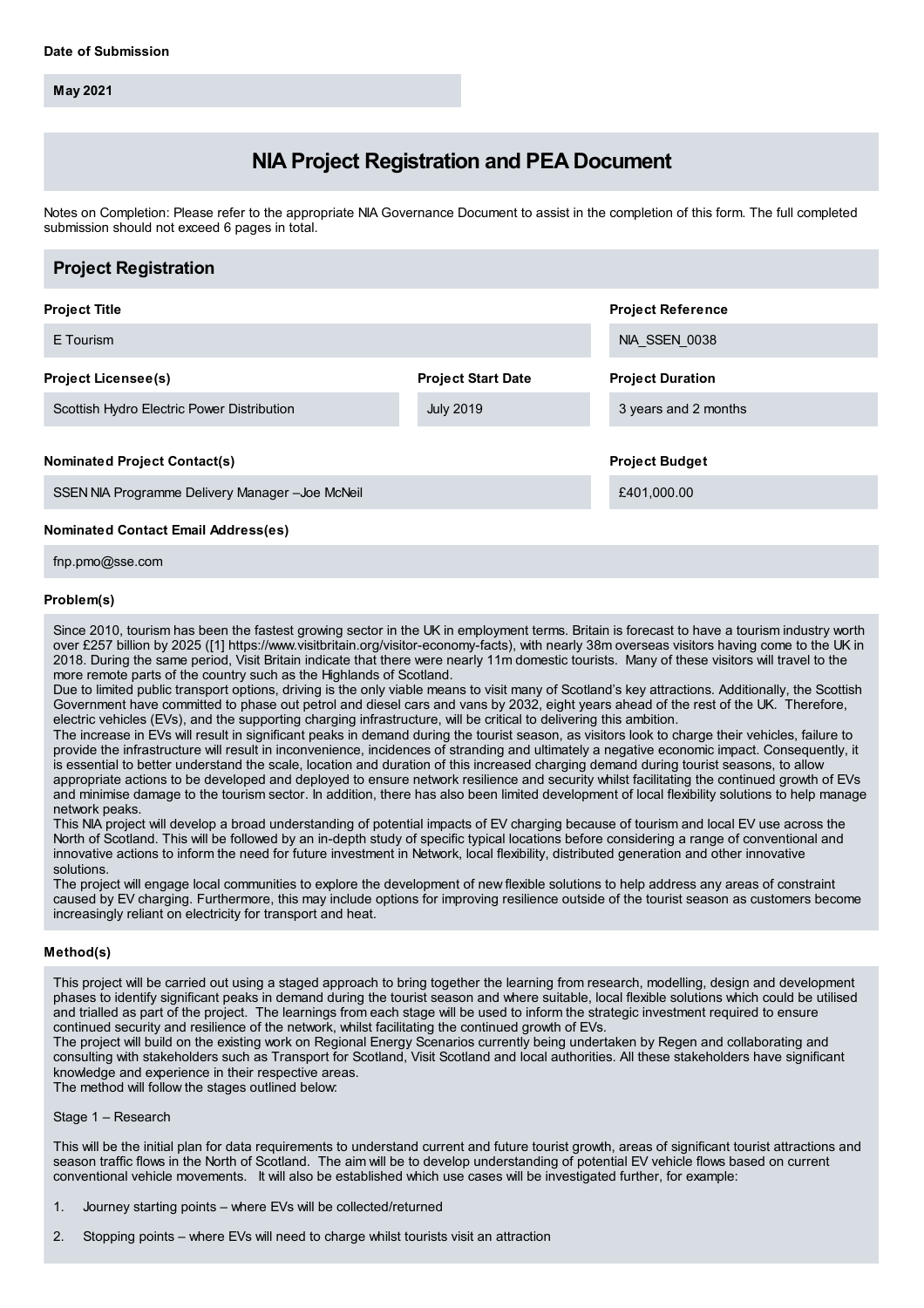**May 2021**

# **NIA Project Registration and PEA Document**

Notes on Completion: Please refer to the appropriate NIA Governance Document to assist in the completion of this form. The full completed submission should not exceed 6 pages in total.

| <b>Project Registration</b>                    |                           |                          |
|------------------------------------------------|---------------------------|--------------------------|
| <b>Project Title</b>                           |                           | <b>Project Reference</b> |
| E Tourism                                      |                           | NIA SSEN 0038            |
| <b>Project Licensee(s)</b>                     | <b>Project Start Date</b> | <b>Project Duration</b>  |
| Scottish Hydro Electric Power Distribution     | <b>July 2019</b>          | 3 years and 2 months     |
| <b>Nominated Project Contact(s)</b>            |                           | <b>Project Budget</b>    |
|                                                |                           |                          |
| SSEN NIA Programme Delivery Manager-Joe McNeil |                           | £401,000.00              |
| <b>Nominated Contact Email Address(es)</b>     |                           |                          |

fnp.pmo@sse.com

#### **Problem(s)**

Since 2010, tourism has been the fastest growing sector in the UK in employment terms. Britain is forecast to have a tourism industry worth over £257 billion by 2025 ([1] https://www.visitbritain.org/visitor-economy-facts), with nearly 38m overseas visitors having come to the UK in 2018. During the same period, Visit Britain indicate that there were nearly 11m domestic tourists. Many of these visitors will travel to the more remote parts of the country such as the Highlands of Scotland.

Due to limited public transport options, driving is the only viable means to visit many of Scotland's key attractions. Additionally, the Scottish Government have committed to phase out petrol and diesel cars and vans by 2032, eight years ahead of the rest of the UK. Therefore, electric vehicles (EVs), and the supporting charging infrastructure, will be critical to delivering this ambition.

The increase in EVs will result in significant peaks in demand during the tourist season, as visitors look to charge their vehicles, failure to provide the infrastructure will result in inconvenience, incidences of stranding and ultimately a negative economic impact. Consequently, it is essential to better understand the scale, location and duration of this increased charging demand during tourist seasons, to allow appropriate actions to be developed and deployed to ensure network resilience and security whilst facilitating the continued growth of EVs and minimise damage to the tourism sector. In addition, there has also been limited development of local flexibility solutions to help manage network peaks.

This NIA project will develop a broad understanding of potential impacts of EV charging because of tourism and local EV use across the North of Scotland. This will be followed by an in-depth study of specific typical locations before considering a range of conventional and innovative actions to inform the need for future investment in Network, local flexibility, distributed generation and other innovative solutions.

The project will engage local communities to explore the development of new flexible solutions to help address any areas of constraint caused by EV charging. Furthermore, this may include options for improving resilience outside of the tourist season as customers become increasingly reliant on electricity for transport and heat.

### **Method(s)**

This project will be carried out using a staged approach to bring together the learning from research, modelling, design and development phases to identify significant peaks in demand during the tourist season and where suitable, local flexible solutions which could be utilised and trialled as part of the project. The learnings from each stage will be used to inform the strategic investment required to ensure continued security and resilience of the network, whilst facilitating the continued growth of EVs.

The project will build on the existing work on Regional Energy Scenarios currently being undertaken by Regen and collaborating and consulting with stakeholders such as Transport for Scotland, Visit Scotland and local authorities. All these stakeholders have significant knowledge and experience in their respective areas.

The method will follow the stages outlined below:

Stage 1 – Research

This will be the initial plan for data requirements to understand current and future tourist growth, areas of significant tourist attractions and season traffic flows in the North of Scotland. The aim will be to develop understanding of potential EV vehicle flows based on current conventional vehicle movements. It will also be established which use cases will be investigated further, for example:

- 1. Journey starting points where EVs will be collected/returned
- 2. Stopping points where EVs will need to charge whilst tourists visit an attraction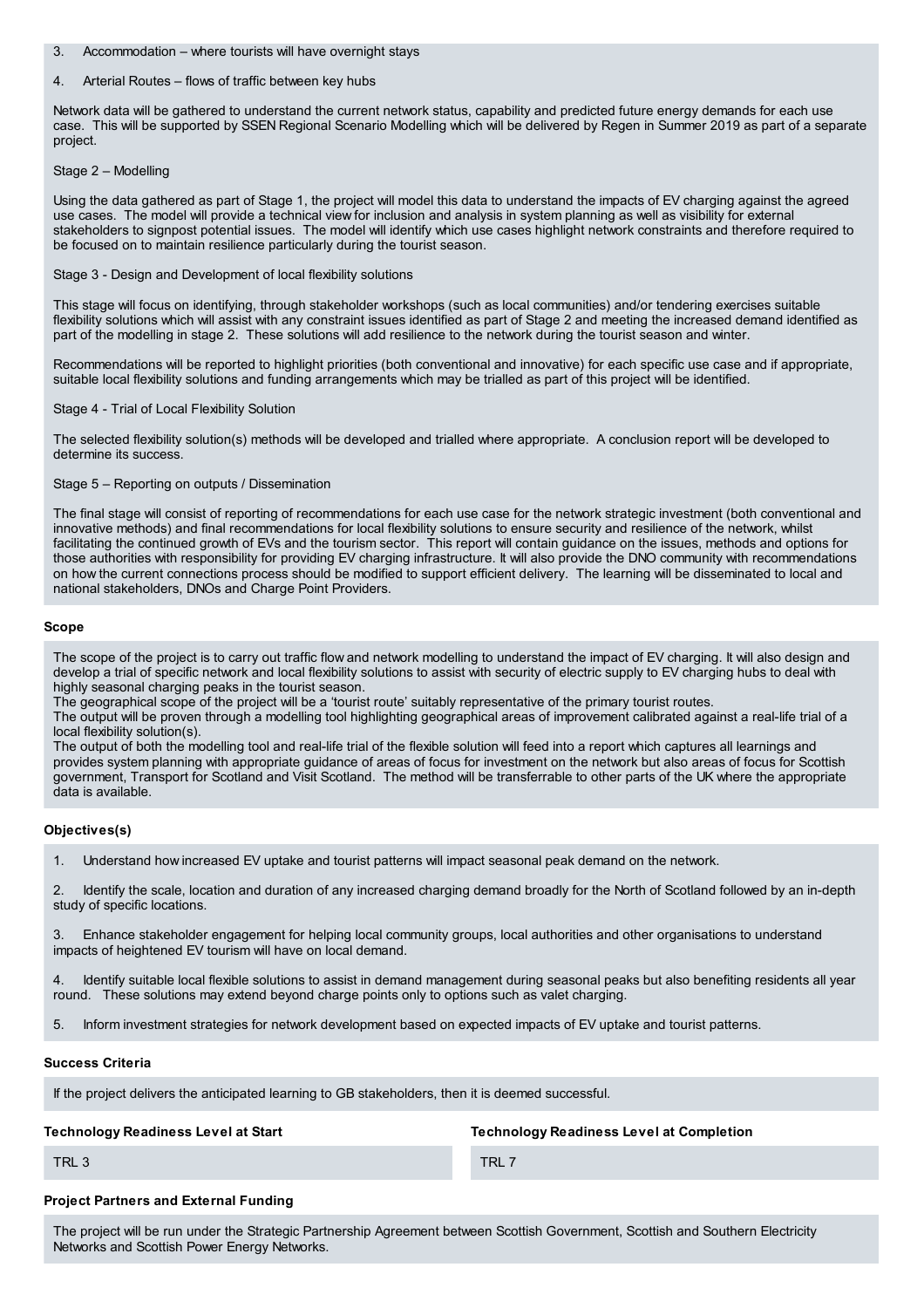3. Accommodation – where tourists will have overnight stays

#### 4. Arterial Routes – flows of traffic between key hubs

Network data will be gathered to understand the current network status, capability and predicted future energy demands for each use case. This will be supported by SSEN Regional Scenario Modelling which will be delivered by Regen in Summer 2019 as part of a separate project.

#### Stage 2 – Modelling

Using the data gathered as part of Stage 1, the project will model this data to understand the impacts of EV charging against the agreed use cases. The model will provide a technical view for inclusion and analysis in system planning as well as visibility for external stakeholders to signpost potential issues. The model will identify which use cases highlight network constraints and therefore required to be focused on to maintain resilience particularly during the tourist season.

Stage 3 - Design and Development of local flexibility solutions

This stage will focus on identifying, through stakeholder workshops (such as local communities) and/or tendering exercises suitable flexibility solutions which will assist with any constraint issues identified as part of Stage 2 and meeting the increased demand identified as part of the modelling in stage 2. These solutions will add resilience to the network during the tourist season and winter.

Recommendations will be reported to highlight priorities (both conventional and innovative) for each specific use case and if appropriate, suitable local flexibility solutions and funding arrangements which may be trialled as part of this project will be identified.

Stage 4 - Trial of Local Flexibility Solution

The selected flexibility solution(s) methods will be developed and trialled where appropriate. A conclusion report will be developed to determine its success.

#### Stage 5 – Reporting on outputs / Dissemination

The final stage will consist of reporting of recommendations for each use case for the network strategic investment (both conventional and innovative methods) and final recommendations for local flexibility solutions to ensure security and resilience of the network, whilst facilitating the continued growth of EVs and the tourism sector. This report will contain guidance on the issues, methods and options for those authorities with responsibility for providing EV charging infrastructure. It will also provide the DNO community with recommendations on how the current connections process should be modified to support efficient delivery. The learning will be disseminated to local and national stakeholders, DNOs and Charge Point Providers.

#### **Scope**

The scope of the project is to carry out traffic flow and network modelling to understand the impact of EV charging. It will also design and develop a trial of specific network and local flexibility solutions to assist with security of electric supply to EV charging hubs to deal with highly seasonal charging peaks in the tourist season.

The geographical scope of the project will be a 'tourist route' suitably representative of the primary tourist routes.

The output will be proven through a modelling tool highlighting geographical areas of improvement calibrated against a real-life trial of a local flexibility solution(s).

The output of both the modelling tool and real-life trial of the flexible solution will feed into a report which captures all learnings and provides system planning with appropriate guidance of areas of focus for investment on the network but also areas of focus for Scottish government, Transport for Scotland and Visit Scotland. The method will be transferrable to other parts of the UK where the appropriate data is available.

#### **Objectives(s)**

1. Understand how increased EV uptake and tourist patterns will impact seasonal peak demand on the network.

2. Identify the scale, location and duration of any increased charging demand broadly for the North of Scotland followed by an in-depth study of specific locations.

3. Enhance stakeholder engagement for helping local community groups, local authorities and other organisations to understand impacts of heightened EV tourism will have on local demand.

4. Identify suitable local flexible solutions to assist in demand management during seasonal peaks but also benefiting residents all year round. These solutions may extend beyond charge points only to options such as valet charging.

5. Inform investment strategies for network development based on expected impacts of EV uptake and tourist patterns.

#### **Success Criteria**

If the project delivers the anticipated learning to GB stakeholders, then it is deemed successful.

#### **Technology Readiness Level at Start**

**Project Partners and External Funding**

**Technology Readiness Level at Completion**

TRL 3

TRL 7

The project will be run under the Strategic Partnership Agreement between Scottish Government, Scottish and Southern Electricity Networks and Scottish Power Energy Networks.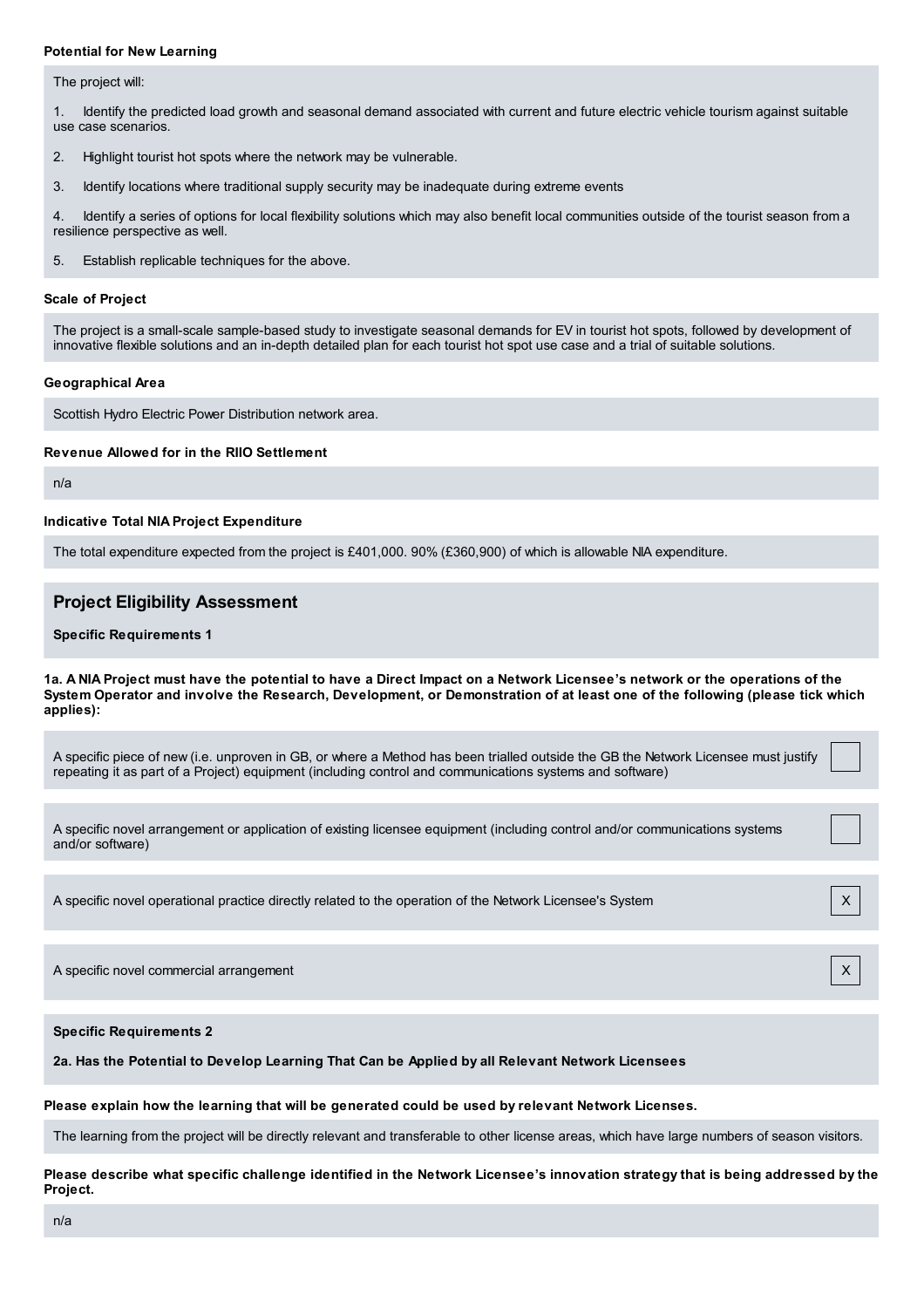#### **Potential for New Learning**

The project will:

1. Identify the predicted load growth and seasonal demand associated with current and future electric vehicle tourism against suitable use case scenarios.

- 2. Highlight tourist hot spots where the network may be vulnerable.
- 3. Identify locations where traditional supply security may be inadequate during extreme events

4. Identify a series of options for local flexibility solutions which may also benefit local communities outside of the tourist season from a resilience perspective as well.

5. Establish replicable techniques for the above.

#### **Scale of Project**

The project is a small-scale sample-based study to investigate seasonal demands for EV in tourist hot spots, followed by development of innovative flexible solutions and an in-depth detailed plan for each tourist hot spot use case and a trial of suitable solutions.

#### **Geographical Area**

Scottish Hydro Electric Power Distribution network area.

#### **Revenue Allowed for in the RIIO Settlement**

n/a

#### **Indicative Total NIA Project Expenditure**

The total expenditure expected from the project is £401,000. 90% (£360,900) of which is allowable NIA expenditure.

# **Project Eligibility Assessment**

#### **Specific Requirements 1**

1a. A NIA Project must have the potential to have a Direct Impact on a Network Licensee's network or the operations of the System Operator and involve the Research, Development, or Demonstration of at least one of the following (please tick which **applies):**

A specific piece of new (i.e. unproven in GB, or where a Method has been trialled outside the GB the Network Licensee must justify repeating it as part of a Project) equipment (including control and communications systems and software)

A specific novel arrangement or application of existing licensee equipment (including control and/or communications systems and/or software)

A specific novel operational practice directly related to the operation of the Network Licensee's System X X

A specific novel commercial arrangement  $X$ 

**Specific Requirements 2**

**2a. Has the Potential to Develop Learning That Can be Applied by all Relevant Network Licensees**

**Please explain how the learning that will be generated could be used by relevant Network Licenses.**

The learning from the project will be directly relevant and transferable to other license areas, which have large numbers of season visitors.

Please describe what specific challenge identified in the Network Licensee's innovation strategy that is being addressed by the **Project.**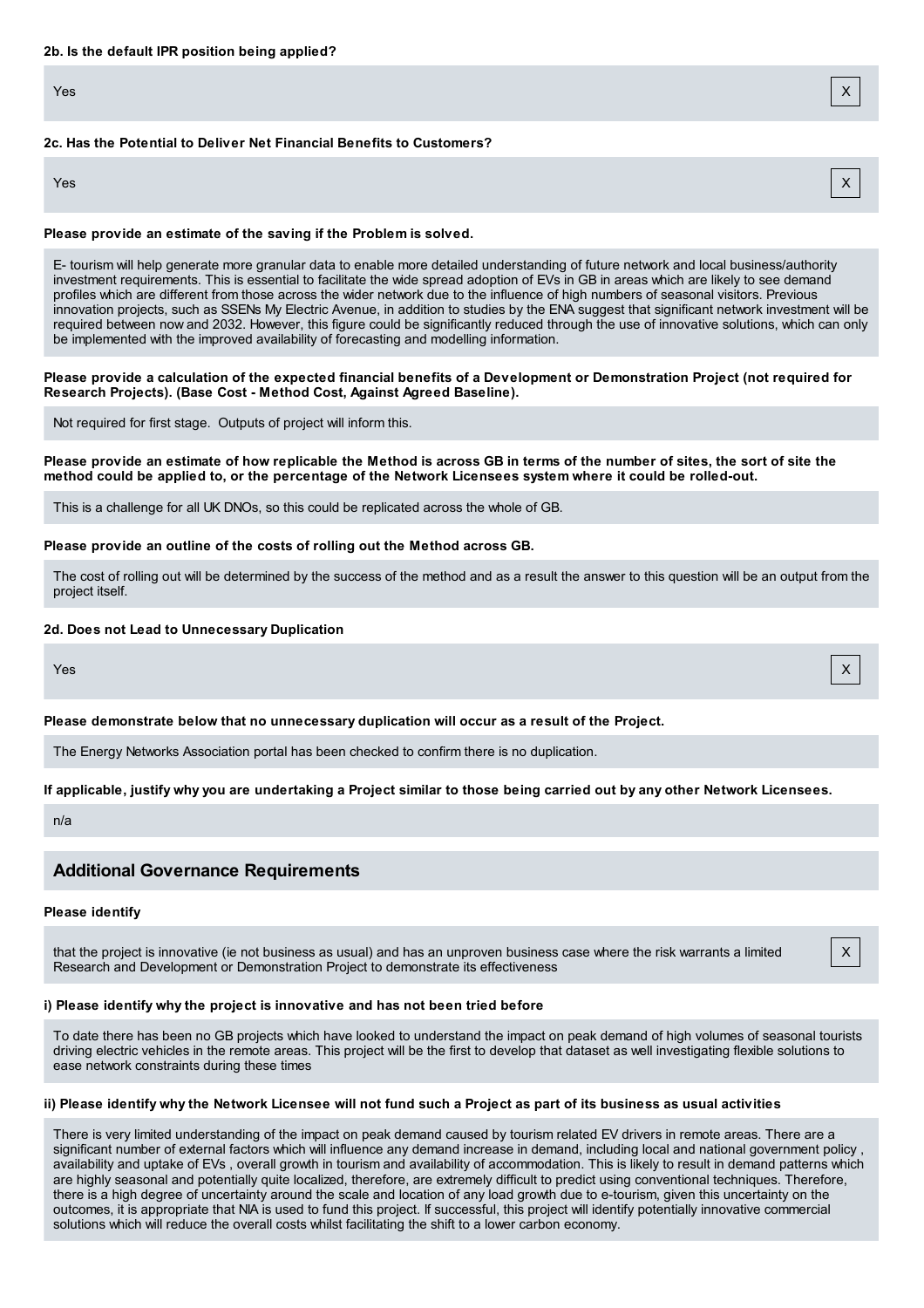#### **2c. Has the Potential to Deliver Net Financial Benefits to Customers?**

Yes X

#### **Please provide an estimate of the saving if the Problem is solved.**

E- tourism will help generate more granular data to enable more detailed understanding of future network and local business/authority investment requirements. This is essential to facilitate the wide spread adoption of EVs in GB in areas which are likely to see demand profiles which are different from those across the wider network due to the influence of high numbers of seasonal visitors. Previous innovation projects, such as SSENs My Electric Avenue, in addition to studies by the ENA suggest that significant network investment will be required between now and 2032. However, this figure could be significantly reduced through the use of innovative solutions, which can only be implemented with the improved availability of forecasting and modelling information.

Please provide a calculation of the expected financial benefits of a Development or Demonstration Project (not required for **Research Projects). (Base Cost - Method Cost, Against Agreed Baseline).**

Not required for first stage. Outputs of project will inform this.

Please provide an estimate of how replicable the Method is across GB in terms of the number of sites, the sort of site the method could be applied to, or the percentage of the Network Licensees system where it could be rolled-out.

This is a challenge for all UK DNOs, so this could be replicated across the whole of GB.

#### **Please provide an outline of the costs of rolling out the Method across GB.**

The cost of rolling out will be determined by the success of the method and as a result the answer to this question will be an output from the project itself.

#### **2d. Does not Lead to Unnecessary Duplication**

Yes X

The Energy Networks Association portal has been checked to confirm there is no duplication.

**Please demonstrate below that no unnecessary duplication will occur as a result of the Project.**

#### If applicable, justify why you are undertaking a Project similar to those being carried out by any other Network Licensees.

n/a

# **Additional Governance Requirements**

## **Please identify**

that the project is innovative (ie not business as usual) and has an unproven business case where the risk warrants a limited Research and Development or Demonstration Project to demonstrate its effectiveness

### **i) Please identify why the project is innovative and has not been tried before**

To date there has been no GB projects which have looked to understand the impact on peak demand of high volumes of seasonal tourists driving electric vehicles in the remote areas. This project will be the first to develop that dataset as well investigating flexible solutions to ease network constraints during these times

# ii) Please identify why the Network Licensee will not fund such a Project as part of its business as usual activities

There is very limited understanding of the impact on peak demand caused by tourism related EV drivers in remote areas. There are a significant number of external factors which will influence any demand increase in demand, including local and national government policy , availability and uptake of EVs , overall growth in tourism and availability of accommodation. This is likely to result in demand patterns which are highly seasonal and potentially quite localized, therefore, are extremely difficult to predict using conventional techniques. Therefore, there is a high degree of uncertainty around the scale and location of any load growth due to e-tourism, given this uncertainty on the outcomes, it is appropriate that NIA is used to fund this project. If successful, this project will identify potentially innovative commercial solutions which will reduce the overall costs whilst facilitating the shift to a lower carbon economy.

X

Yes X